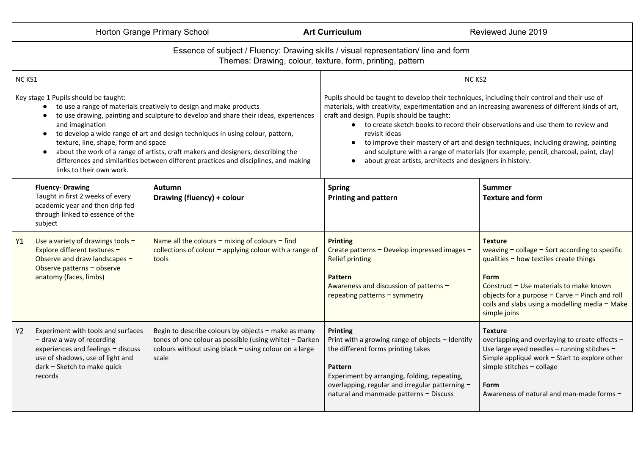| Horton Grange Primary School                                                                                                                                                                                                                                                                                                                                                                                                                                                                                                                            |                                                                                                                                                                                       | <b>Art Curriculum</b>                                                                                                                                                               | Reviewed June 2019                                                                                                                                                                                                                                                                                                                                                                                                                                                                                                                                                                                  |                                                                                                                                                                                                                                                                                               |  |  |  |  |  |  |
|---------------------------------------------------------------------------------------------------------------------------------------------------------------------------------------------------------------------------------------------------------------------------------------------------------------------------------------------------------------------------------------------------------------------------------------------------------------------------------------------------------------------------------------------------------|---------------------------------------------------------------------------------------------------------------------------------------------------------------------------------------|-------------------------------------------------------------------------------------------------------------------------------------------------------------------------------------|-----------------------------------------------------------------------------------------------------------------------------------------------------------------------------------------------------------------------------------------------------------------------------------------------------------------------------------------------------------------------------------------------------------------------------------------------------------------------------------------------------------------------------------------------------------------------------------------------------|-----------------------------------------------------------------------------------------------------------------------------------------------------------------------------------------------------------------------------------------------------------------------------------------------|--|--|--|--|--|--|
| Essence of subject / Fluency: Drawing skills / visual representation/line and form<br>Themes: Drawing, colour, texture, form, printing, pattern                                                                                                                                                                                                                                                                                                                                                                                                         |                                                                                                                                                                                       |                                                                                                                                                                                     |                                                                                                                                                                                                                                                                                                                                                                                                                                                                                                                                                                                                     |                                                                                                                                                                                                                                                                                               |  |  |  |  |  |  |
| <b>NC KS1</b>                                                                                                                                                                                                                                                                                                                                                                                                                                                                                                                                           |                                                                                                                                                                                       |                                                                                                                                                                                     | NC <sub>KS2</sub>                                                                                                                                                                                                                                                                                                                                                                                                                                                                                                                                                                                   |                                                                                                                                                                                                                                                                                               |  |  |  |  |  |  |
| Key stage 1 Pupils should be taught:<br>to use a range of materials creatively to design and make products<br>to use drawing, painting and sculpture to develop and share their ideas, experiences<br>and imagination<br>to develop a wide range of art and design techniques in using colour, pattern,<br>texture, line, shape, form and space<br>about the work of a range of artists, craft makers and designers, describing the<br>differences and similarities between different practices and disciplines, and making<br>links to their own work. |                                                                                                                                                                                       |                                                                                                                                                                                     | Pupils should be taught to develop their techniques, including their control and their use of<br>materials, with creativity, experimentation and an increasing awareness of different kinds of art,<br>craft and design. Pupils should be taught:<br>• to create sketch books to record their observations and use them to review and<br>revisit ideas<br>• to improve their mastery of art and design techniques, including drawing, painting<br>and sculpture with a range of materials [for example, pencil, charcoal, paint, clay]<br>about great artists, architects and designers in history. |                                                                                                                                                                                                                                                                                               |  |  |  |  |  |  |
|                                                                                                                                                                                                                                                                                                                                                                                                                                                                                                                                                         | <b>Fluency-Drawing</b><br>Taught in first 2 weeks of every<br>academic year and then drip fed<br>through linked to essence of the<br>subject                                          | <b>Autumn</b><br>Drawing (fluency) + colour                                                                                                                                         | <b>Spring</b><br><b>Printing and pattern</b>                                                                                                                                                                                                                                                                                                                                                                                                                                                                                                                                                        | Summer<br><b>Texture and form</b>                                                                                                                                                                                                                                                             |  |  |  |  |  |  |
| Y1                                                                                                                                                                                                                                                                                                                                                                                                                                                                                                                                                      | Use a variety of drawings tools $-$<br>Explore different textures -<br>Observe and draw landscapes -<br>Observe patterns - observe<br>anatomy (faces, limbs)                          | Name all the colours $-$ mixing of colours $-$ find<br>collections of colour $-$ applying colour with a range of<br>tools                                                           | <b>Printing</b><br>Create patterns - Develop impressed images -<br><b>Relief printing</b><br><b>Pattern</b><br>Awareness and discussion of patterns -<br>repeating patterns - symmetry                                                                                                                                                                                                                                                                                                                                                                                                              | <b>Texture</b><br>weaving $-$ collage $-$ Sort according to specific<br>qualities $-$ how textiles create things<br>Form<br>Construct $-$ Use materials to make known<br>objects for a purpose $-$ Carve $-$ Pinch and roll<br>coils and slabs using a modelling media - Make<br>simple joins |  |  |  |  |  |  |
| <b>Y2</b>                                                                                                                                                                                                                                                                                                                                                                                                                                                                                                                                               | Experiment with tools and surfaces<br>$-$ draw a way of recording<br>experiences and feelings - discuss<br>use of shadows, use of light and<br>dark - Sketch to make quick<br>records | Begin to describe colours by objects - make as many<br>tones of one colour as possible (using white) $-$ Darken<br>colours without using black $-$ using colour on a large<br>scale | <b>Printing</b><br>Print with a growing range of objects $-$ Identify<br>the different forms printing takes<br><b>Pattern</b><br>Experiment by arranging, folding, repeating,<br>overlapping, regular and irregular patterning -<br>natural and manmade patterns - Discuss                                                                                                                                                                                                                                                                                                                          | <b>Texture</b><br>overlapping and overlaying to create effects -<br>Use large eyed needles - running stitches -<br>Simple appliqué work - Start to explore other<br>simple stitches $-$ collage<br>Form<br>Awareness of natural and man-made forms -                                          |  |  |  |  |  |  |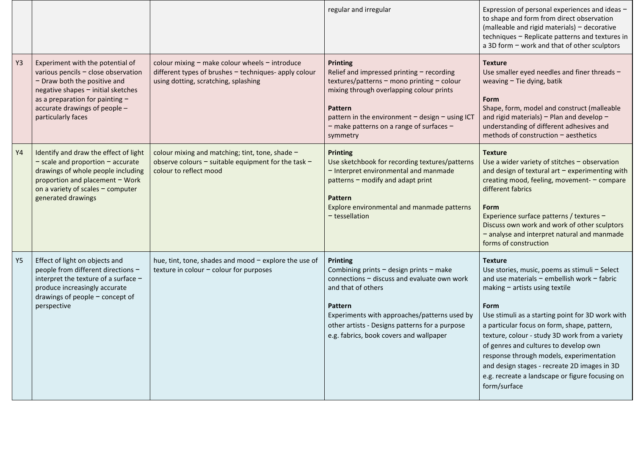|                |                                                                                                                                                                                                                                         |                                                                                                                                                     | regular and irregular                                                                                                                                                                                                                                                                     | Expression of personal experiences and ideas -<br>to shape and form from direct observation<br>(malleable and rigid materials) - decorative<br>techniques - Replicate patterns and textures in<br>a 3D form - work and that of other sculptors                                                                                                                                                                                                                                                                              |
|----------------|-----------------------------------------------------------------------------------------------------------------------------------------------------------------------------------------------------------------------------------------|-----------------------------------------------------------------------------------------------------------------------------------------------------|-------------------------------------------------------------------------------------------------------------------------------------------------------------------------------------------------------------------------------------------------------------------------------------------|-----------------------------------------------------------------------------------------------------------------------------------------------------------------------------------------------------------------------------------------------------------------------------------------------------------------------------------------------------------------------------------------------------------------------------------------------------------------------------------------------------------------------------|
| Y3             | Experiment with the potential of<br>various pencils - close observation<br>- Draw both the positive and<br>negative shapes - initial sketches<br>as a preparation for painting -<br>accurate drawings of people -<br>particularly faces | colour mixing $-$ make colour wheels $-$ introduce<br>different types of brushes - techniques- apply colour<br>using dotting, scratching, splashing | <b>Printing</b><br>Relief and impressed printing $-$ recording<br>textures/patterns - mono printing - colour<br>mixing through overlapping colour prints<br>Pattern<br>pattern in the environment - design - using ICT<br>- make patterns on a range of surfaces -<br>symmetry            | Texture<br>Use smaller eyed needles and finer threads -<br>weaving $-$ Tie dying, batik<br><b>Form</b><br>Shape, form, model and construct (malleable<br>and rigid materials) - Plan and develop -<br>understanding of different adhesives and<br>methods of construction - aesthetics                                                                                                                                                                                                                                      |
| <b>Y4</b>      | Identify and draw the effect of light<br>$-$ scale and proportion $-$ accurate<br>drawings of whole people including<br>proportion and placement - Work<br>on a variety of scales - computer<br>generated drawings                      | colour mixing and matching; tint, tone, shade -<br>observe colours $-$ suitable equipment for the task $-$<br>colour to reflect mood                | <b>Printing</b><br>Use sketchbook for recording textures/patterns<br>- Interpret environmental and manmade<br>patterns - modify and adapt print<br>Pattern<br>Explore environmental and manmade patterns<br>- tessellation                                                                | <b>Texture</b><br>Use a wider variety of stitches - observation<br>and design of textural art $-$ experimenting with<br>creating mood, feeling, movement- - compare<br>different fabrics<br>Form<br>Experience surface patterns / textures -<br>Discuss own work and work of other sculptors<br>- analyse and interpret natural and manmade<br>forms of construction                                                                                                                                                        |
| Y <sub>5</sub> | Effect of light on objects and<br>people from different directions -<br>interpret the texture of a surface -<br>produce increasingly accurate<br>drawings of people $-$ concept of<br>perspective                                       | hue, tint, tone, shades and mood - explore the use of<br>texture in colour - colour for purposes                                                    | <b>Printing</b><br>Combining prints - design prints - make<br>connections $-$ discuss and evaluate own work<br>and that of others<br>Pattern<br>Experiments with approaches/patterns used by<br>other artists - Designs patterns for a purpose<br>e.g. fabrics, book covers and wallpaper | <b>Texture</b><br>Use stories, music, poems as stimuli - Select<br>and use materials $-$ embellish work $-$ fabric<br>making $-$ artists using textile<br>Form<br>Use stimuli as a starting point for 3D work with<br>a particular focus on form, shape, pattern,<br>texture, colour - study 3D work from a variety<br>of genres and cultures to develop own<br>response through models, experimentation<br>and design stages - recreate 2D images in 3D<br>e.g. recreate a landscape or figure focusing on<br>form/surface |